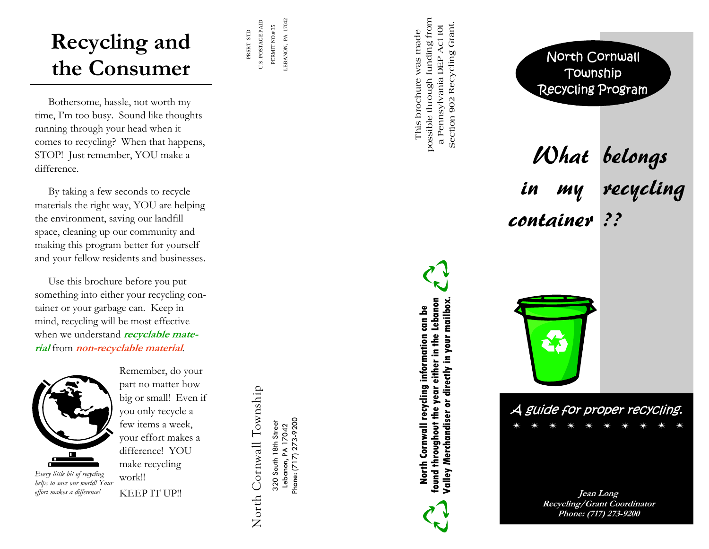## **Recycling and the Consumer**

LEBANON, PA 17042 U.S. POSTAGE PAID U.S. POSTAGE PAID PERMIT NO.#35 PERMIT NO.# 35 PRSRT STD PRSRT STD

LEBANON, PA 17042

 Bothersome, hassle, not worth my time, I'm too busy. Sound like thoughts running through your head when it comes to recycling? When that happens, STOP! Just remember, YOU make a difference.

 By taking a few seconds to recycle materials the right way, YOU are helping the environment, saving our landfill space, cleaning up our community and making this program better for yourself and your fellow residents and businesses.

 Use this brochure before you put something into either your recycling container or your garbage can. Keep in mind, recycling will be most effective when we understand **recyclable material** from **non-recyclable material**.



*Every little bit of recycling helps to save our world! Your effort makes a difference!* 

Remember, do your part no matter how big or small! Even if you only recycle a few items a week, your effort makes a difference! YOU make recycling work!! KEEP IT UP!!

North Cornwall Township North Cornwall Township

Phone: (717) 273-9200 Phone: (717) 273-9200 320 South 18th Street 320 South 18th Street Lebanon, PA 17042 Lebanon, PA 17042